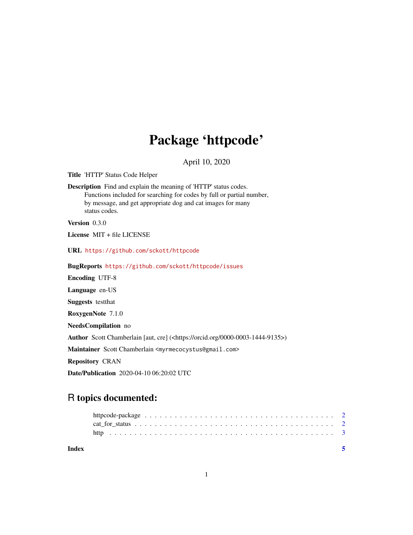## Package 'httpcode'

April 10, 2020

Title 'HTTP' Status Code Helper

Description Find and explain the meaning of 'HTTP' status codes. Functions included for searching for codes by full or partial number, by message, and get appropriate dog and cat images for many status codes.

Version 0.3.0

License MIT + file LICENSE

URL <https://github.com/sckott/httpcode>

BugReports <https://github.com/sckott/httpcode/issues> Encoding UTF-8 Language en-US Suggests testthat RoxygenNote 7.1.0 NeedsCompilation no Author Scott Chamberlain [aut, cre] (<https://orcid.org/0000-0003-1444-9135>) Maintainer Scott Chamberlain <myrmecocystus@gmail.com> Repository CRAN Date/Publication 2020-04-10 06:20:02 UTC

### R topics documented:

**Index** [5](#page-4-0). The second state of the second state of the second state of the second state of the second state of the second state of the second state of the second state of the second state of the second state of the second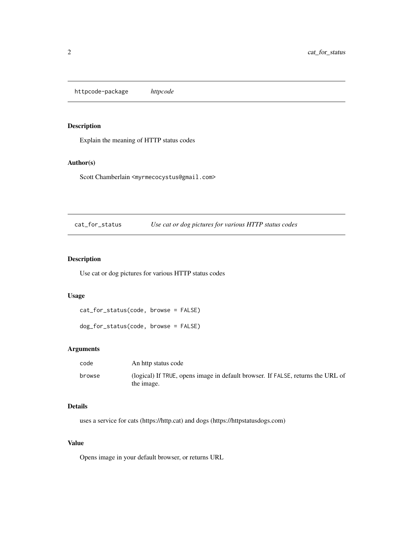<span id="page-1-0"></span>httpcode-package *httpcode*

#### Description

Explain the meaning of HTTP status codes

#### Author(s)

Scott Chamberlain <myrmecocystus@gmail.com>

cat\_for\_status *Use cat or dog pictures for various HTTP status codes*

#### Description

Use cat or dog pictures for various HTTP status codes

#### Usage

```
cat_for_status(code, browse = FALSE)
```
dog\_for\_status(code, browse = FALSE)

#### Arguments

| code   | An http status code                                                                           |
|--------|-----------------------------------------------------------------------------------------------|
| browse | (logical) If TRUE, opens image in default browser. If FALSE, returns the URL of<br>the image. |

#### Details

uses a service for cats (https://http.cat) and dogs (https://httpstatusdogs.com)

#### Value

Opens image in your default browser, or returns URL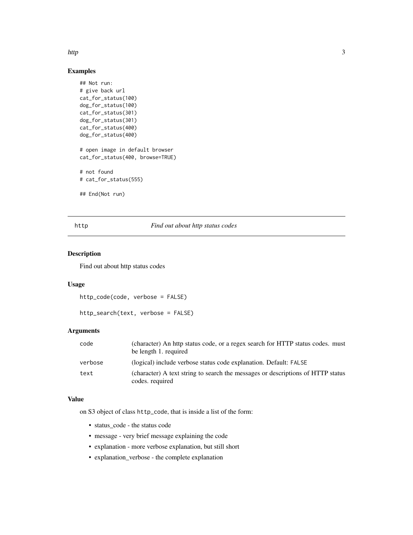#### <span id="page-2-0"></span>http://www.com/solid-community/solid-community/solid-community/solid-community/solid-community/solid-community/

#### Examples

```
## Not run:
# give back url
cat_for_status(100)
dog_for_status(100)
cat_for_status(301)
dog_for_status(301)
cat_for_status(400)
dog_for_status(400)
# open image in default browser
cat_for_status(400, browse=TRUE)
# not found
# cat_for_status(555)
## End(Not run)
```
#### http *Find out about http status codes*

#### Description

Find out about http status codes

#### Usage

```
http_code(code, verbose = FALSE)
```
http\_search(text, verbose = FALSE)

#### Arguments

| code    | (character) An http status code, or a regex search for HTTP status codes. must<br>be length 1. required |
|---------|---------------------------------------------------------------------------------------------------------|
| verbose | (logical) include verbose status code explanation. Default: FALSE                                       |
| text    | (character) A text string to search the messages or descriptions of HTTP status<br>codes. required      |

#### Value

on S3 object of class http\_code, that is inside a list of the form:

- status\_code the status code
- message very brief message explaining the code
- explanation more verbose explanation, but still short
- explanation\_verbose the complete explanation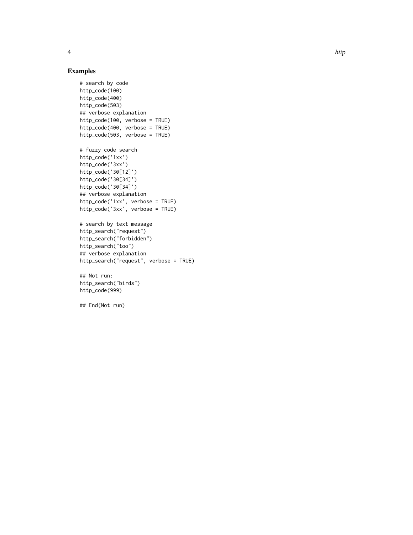#### Examples

```
# search by code
http_code(100)
http_code(400)
http_code(503)
## verbose explanation
http_code(100, verbose = TRUE)
http_code(400, verbose = TRUE)
http_code(503, verbose = TRUE)
# fuzzy code search
http_code('1xx')
http_code('3xx')
http_code('30[12]')
http_code('30[34]')
http_code('30[34]')
## verbose explanation
http_code('1xx', verbose = TRUE)
http_code('3xx', verbose = TRUE)
# search by text message
http_search("request")
http_search("forbidden")
http_search("too")
## verbose explanation
```
## Not run:

http\_search("request", verbose = TRUE)

http\_search("birds") http\_code(999)

## End(Not run)